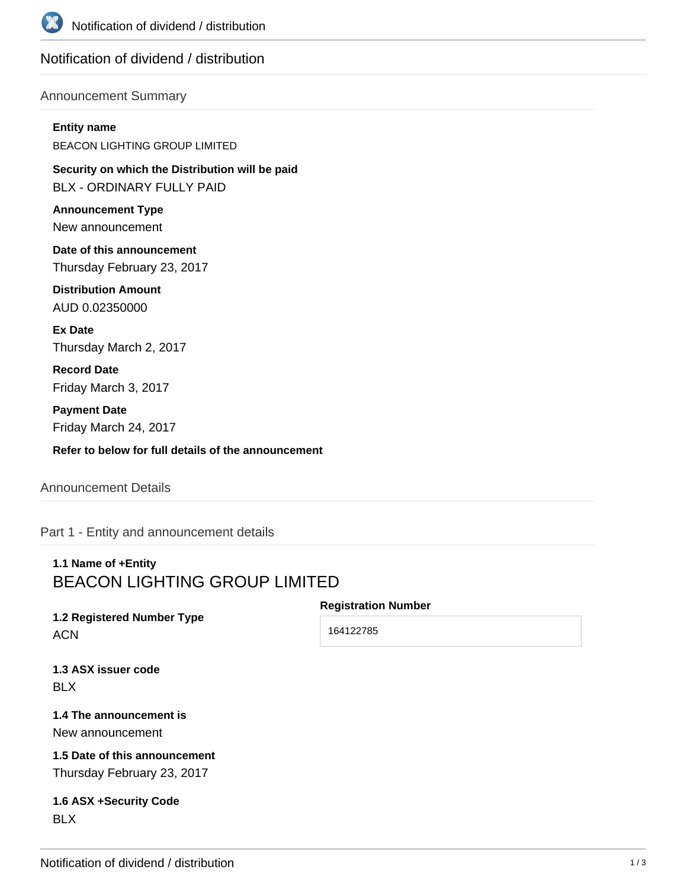

# Notification of dividend / distribution

### Announcement Summary

#### **Entity name**

BEACON LIGHTING GROUP LIMITED

**Security on which the Distribution will be paid** BLX - ORDINARY FULLY PAID

**Announcement Type** New announcement

**Date of this announcement** Thursday February 23, 2017

**Distribution Amount** AUD 0.02350000

**Ex Date** Thursday March 2, 2017

**Record Date** Friday March 3, 2017

**Payment Date** Friday March 24, 2017

**Refer to below for full details of the announcement**

### Announcement Details

Part 1 - Entity and announcement details

# **1.1 Name of +Entity** BEACON LIGHTING GROUP LIMITED

**1.2 Registered Number Type** ACN

**Registration Number**

164122785

**1.3 ASX issuer code** BLX

**1.4 The announcement is** New announcement

**1.5 Date of this announcement** Thursday February 23, 2017

**1.6 ASX +Security Code** BLX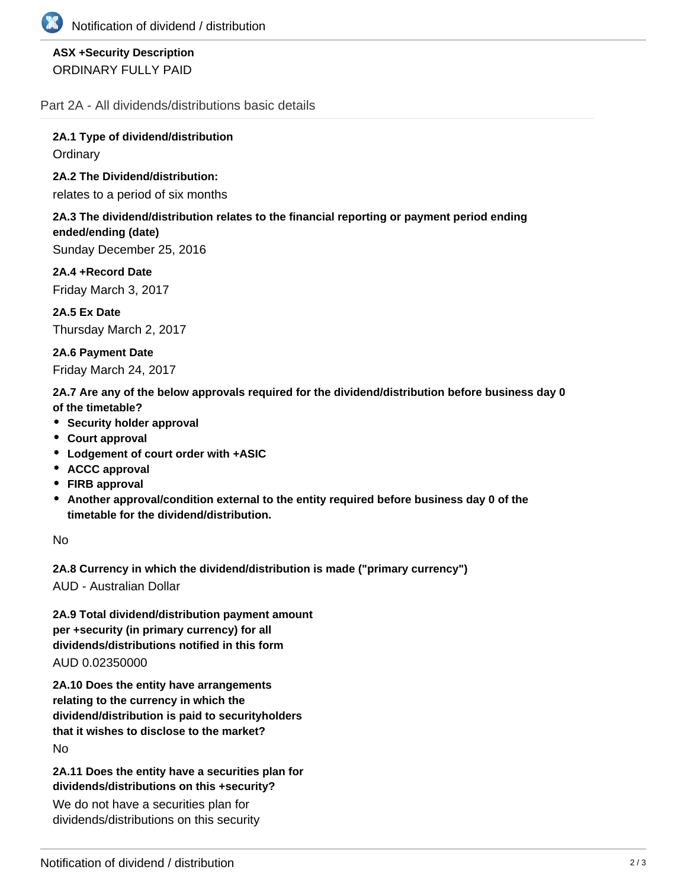

## **ASX +Security Description** ORDINARY FULLY PAID

Part 2A - All dividends/distributions basic details

**2A.1 Type of dividend/distribution Ordinary** 

### **2A.2 The Dividend/distribution:**

relates to a period of six months

#### **2A.3 The dividend/distribution relates to the financial reporting or payment period ending ended/ending (date)**

Sunday December 25, 2016

**2A.4 +Record Date** Friday March 3, 2017

**2A.5 Ex Date** Thursday March 2, 2017

**2A.6 Payment Date** Friday March 24, 2017

**2A.7 Are any of the below approvals required for the dividend/distribution before business day 0 of the timetable?**

- **•** Security holder approval
- **Court approval**
- **Lodgement of court order with +ASIC**
- **ACCC approval**
- **FIRB approval**
- **Another approval/condition external to the entity required before business day 0 of the timetable for the dividend/distribution.**

No

**2A.8 Currency in which the dividend/distribution is made ("primary currency")**

AUD - Australian Dollar

**2A.9 Total dividend/distribution payment amount per +security (in primary currency) for all dividends/distributions notified in this form** AUD 0.02350000

**2A.10 Does the entity have arrangements relating to the currency in which the dividend/distribution is paid to securityholders that it wishes to disclose to the market?** No

**2A.11 Does the entity have a securities plan for dividends/distributions on this +security?**

We do not have a securities plan for dividends/distributions on this security